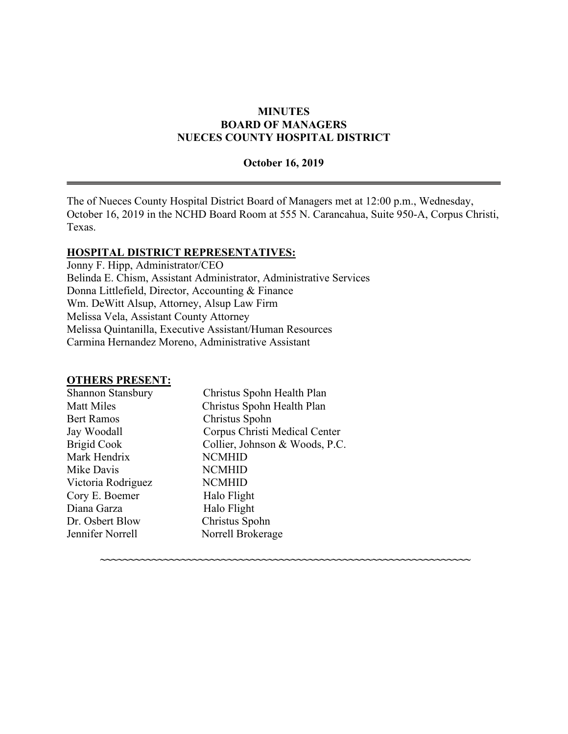### **MINUTES BOARD OF MANAGERS NUECES COUNTY HOSPITAL DISTRICT**

#### **October 16, 2019**

The of Nueces County Hospital District Board of Managers met at 12:00 p.m., Wednesday, October 16, 2019 in the NCHD Board Room at 555 N. Carancahua, Suite 950-A, Corpus Christi, Texas.

**~~~~~~~~~~~~~~~~~~~~~~~~~~~~~~~~~~~~~~~~~~~~~~~~~~~~~~~~~~~~~~~~**

#### **HOSPITAL DISTRICT REPRESENTATIVES:**

Jonny F. Hipp, Administrator/CEO Belinda E. Chism, Assistant Administrator, Administrative Services Donna Littlefield, Director, Accounting & Finance Wm. DeWitt Alsup, Attorney, Alsup Law Firm Melissa Vela, Assistant County Attorney Melissa Quintanilla, Executive Assistant/Human Resources Carmina Hernandez Moreno, Administrative Assistant

### **OTHERS PRESENT:**

| Shannon Stansbury  | Christus Spohn Health Plan     |
|--------------------|--------------------------------|
| <b>Matt Miles</b>  | Christus Spohn Health Plan     |
| <b>Bert Ramos</b>  | Christus Spohn                 |
| Jay Woodall        | Corpus Christi Medical Center  |
| <b>Brigid Cook</b> | Collier, Johnson & Woods, P.C. |
| Mark Hendrix       | <b>NCMHID</b>                  |
| Mike Davis         | <b>NCMHID</b>                  |
| Victoria Rodriguez | <b>NCMHID</b>                  |
| Cory E. Boemer     | Halo Flight                    |
| Diana Garza        | Halo Flight                    |
| Dr. Osbert Blow    | Christus Spohn                 |
| Jennifer Norrell   | Norrell Brokerage              |
|                    |                                |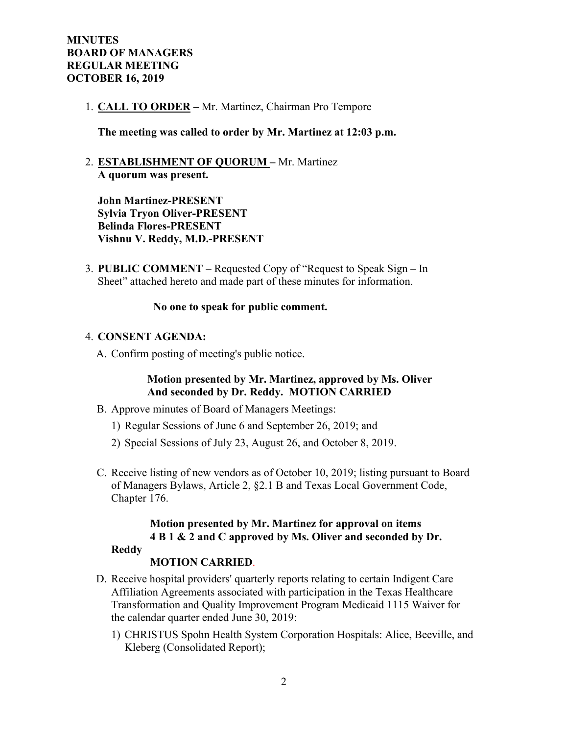1. **CALL TO ORDER –** Mr. Martinez, Chairman Pro Tempore

**The meeting was called to order by Mr. Martinez at 12:03 p.m.**

2. **ESTABLISHMENT OF QUORUM –** Mr. Martinez **A quorum was present.**

**John Martinez-PRESENT Sylvia Tryon Oliver-PRESENT Belinda Flores-PRESENT Vishnu V. Reddy, M.D.-PRESENT**

3. **PUBLIC COMMENT** – Requested Copy of "Request to Speak Sign – In Sheet" attached hereto and made part of these minutes for information.

#### **No one to speak for public comment.**

### 4. **CONSENT AGENDA:**

A. Confirm posting of meeting's public notice.

### **Motion presented by Mr. Martinez, approved by Ms. Oliver And seconded by Dr. Reddy. MOTION CARRIED**

- B. Approve minutes of Board of Managers Meetings:
	- 1) Regular Sessions of June 6 and September 26, 2019; and
	- 2) Special Sessions of July 23, August 26, and October 8, 2019.
- C. Receive listing of new vendors as of October 10, 2019; listing pursuant to Board of Managers Bylaws, Article 2, §2.1 B and Texas Local Government Code, Chapter 176.

# **Motion presented by Mr. Martinez for approval on items 4 B 1 & 2 and C approved by Ms. Oliver and seconded by Dr.**

### **Reddy**

### **MOTION CARRIED**.

- D. Receive hospital providers' quarterly reports relating to certain Indigent Care Affiliation Agreements associated with participation in the Texas Healthcare Transformation and Quality Improvement Program Medicaid 1115 Waiver for the calendar quarter ended June 30, 2019:
	- 1) CHRISTUS Spohn Health System Corporation Hospitals: Alice, Beeville, and Kleberg (Consolidated Report);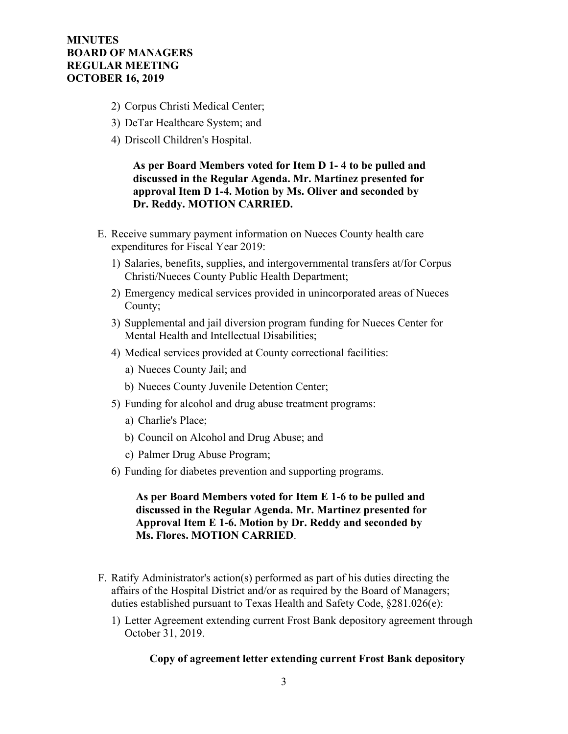- 2) Corpus Christi Medical Center;
- 3) DeTar Healthcare System; and
- 4) Driscoll Children's Hospital.

 **As per Board Members voted for Item D 1- 4 to be pulled and discussed in the Regular Agenda. Mr. Martinez presented for approval Item D 1-4. Motion by Ms. Oliver and seconded by Dr. Reddy. MOTION CARRIED.**

- E. Receive summary payment information on Nueces County health care expenditures for Fiscal Year 2019:
	- 1) Salaries, benefits, supplies, and intergovernmental transfers at/for Corpus Christi/Nueces County Public Health Department;
	- 2) Emergency medical services provided in unincorporated areas of Nueces County;
	- 3) Supplemental and jail diversion program funding for Nueces Center for Mental Health and Intellectual Disabilities;
	- 4) Medical services provided at County correctional facilities:
		- a) Nueces County Jail; and
		- b) Nueces County Juvenile Detention Center;
	- 5) Funding for alcohol and drug abuse treatment programs:
		- a) Charlie's Place;
		- b) Council on Alcohol and Drug Abuse; and
		- c) Palmer Drug Abuse Program;
	- 6) Funding for diabetes prevention and supporting programs.

 **As per Board Members voted for Item E 1-6 to be pulled and discussed in the Regular Agenda. Mr. Martinez presented for Approval Item E 1-6. Motion by Dr. Reddy and seconded by Ms. Flores. MOTION CARRIED**.

- F. Ratify Administrator's action(s) performed as part of his duties directing the affairs of the Hospital District and/or as required by the Board of Managers; duties established pursuant to Texas Health and Safety Code, §281.026(e):
	- 1) Letter Agreement extending current Frost Bank depository agreement through October 31, 2019.

#### **Copy of agreement letter extending current Frost Bank depository**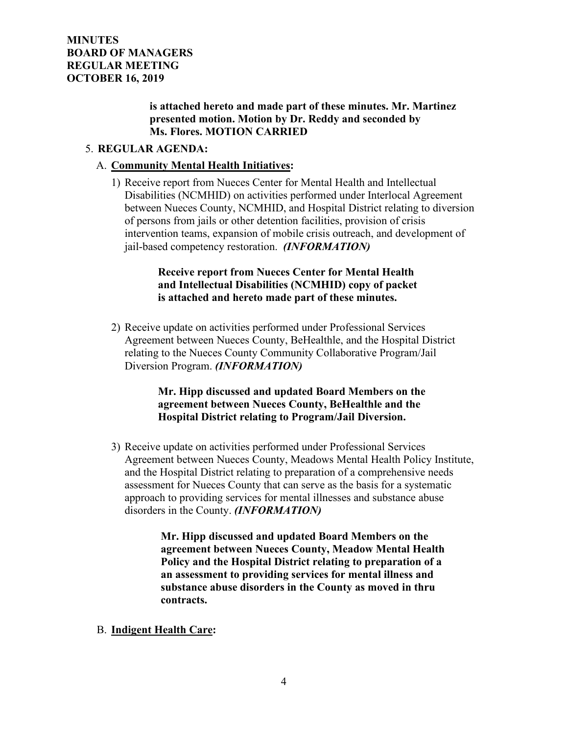## **is attached hereto and made part of these minutes. Mr. Martinez presented motion. Motion by Dr. Reddy and seconded by Ms. Flores. MOTION CARRIED**

## 5. **REGULAR AGENDA:**

### A. **Community Mental Health Initiatives:**

1) Receive report from Nueces Center for Mental Health and Intellectual Disabilities (NCMHID) on activities performed under Interlocal Agreement between Nueces County, NCMHID, and Hospital District relating to diversion of persons from jails or other detention facilities, provision of crisis intervention teams, expansion of mobile crisis outreach, and development of jail-based competency restoration. *(INFORMATION)*

## **Receive report from Nueces Center for Mental Health and Intellectual Disabilities (NCMHID) copy of packet is attached and hereto made part of these minutes.**

2) Receive update on activities performed under Professional Services Agreement between Nueces County, BeHealthle, and the Hospital District relating to the Nueces County Community Collaborative Program/Jail Diversion Program. *(INFORMATION)*

## **Mr. Hipp discussed and updated Board Members on the agreement between Nueces County, BeHealthle and the Hospital District relating to Program/Jail Diversion.**

3) Receive update on activities performed under Professional Services Agreement between Nueces County, Meadows Mental Health Policy Institute, and the Hospital District relating to preparation of a comprehensive needs assessment for Nueces County that can serve as the basis for a systematic approach to providing services for mental illnesses and substance abuse disorders in the County. *(INFORMATION)*

> **Mr. Hipp discussed and updated Board Members on the agreement between Nueces County, Meadow Mental Health Policy and the Hospital District relating to preparation of a an assessment to providing services for mental illness and substance abuse disorders in the County as moved in thru contracts.**

B. **Indigent Health Care:**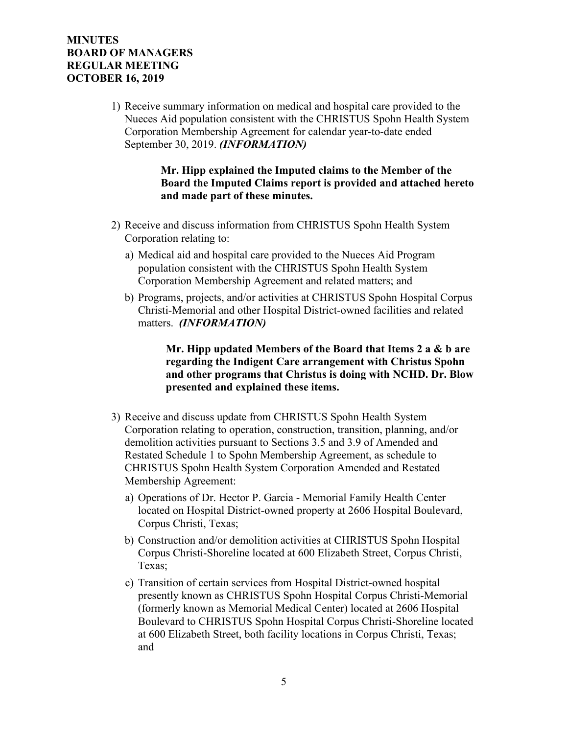1) Receive summary information on medical and hospital care provided to the Nueces Aid population consistent with the CHRISTUS Spohn Health System Corporation Membership Agreement for calendar year-to-date ended September 30, 2019. *(INFORMATION)*

> **Mr. Hipp explained the Imputed claims to the Member of the Board the Imputed Claims report is provided and attached hereto and made part of these minutes.**

- 2) Receive and discuss information from CHRISTUS Spohn Health System Corporation relating to:
	- a) Medical aid and hospital care provided to the Nueces Aid Program population consistent with the CHRISTUS Spohn Health System Corporation Membership Agreement and related matters; and
	- b) Programs, projects, and/or activities at CHRISTUS Spohn Hospital Corpus Christi-Memorial and other Hospital District-owned facilities and related matters. *(INFORMATION)*

 **Mr. Hipp updated Members of the Board that Items 2 a & b are regarding the Indigent Care arrangement with Christus Spohn and other programs that Christus is doing with NCHD. Dr. Blow presented and explained these items.**

- 3) Receive and discuss update from CHRISTUS Spohn Health System Corporation relating to operation, construction, transition, planning, and/or demolition activities pursuant to Sections 3.5 and 3.9 of Amended and Restated Schedule 1 to Spohn Membership Agreement, as schedule to CHRISTUS Spohn Health System Corporation Amended and Restated Membership Agreement:
	- a) Operations of Dr. Hector P. Garcia Memorial Family Health Center located on Hospital District-owned property at 2606 Hospital Boulevard, Corpus Christi, Texas;
	- b) Construction and/or demolition activities at CHRISTUS Spohn Hospital Corpus Christi-Shoreline located at 600 Elizabeth Street, Corpus Christi, Texas;
	- c) Transition of certain services from Hospital District-owned hospital presently known as CHRISTUS Spohn Hospital Corpus Christi-Memorial (formerly known as Memorial Medical Center) located at 2606 Hospital Boulevard to CHRISTUS Spohn Hospital Corpus Christi-Shoreline located at 600 Elizabeth Street, both facility locations in Corpus Christi, Texas; and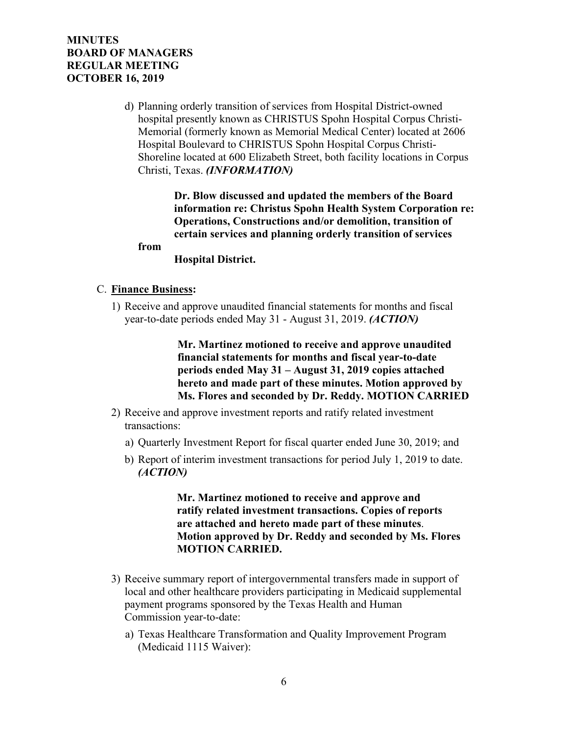d) Planning orderly transition of services from Hospital District-owned hospital presently known as CHRISTUS Spohn Hospital Corpus Christi-Memorial (formerly known as Memorial Medical Center) located at 2606 Hospital Boulevard to CHRISTUS Spohn Hospital Corpus Christi-Shoreline located at 600 Elizabeth Street, both facility locations in Corpus Christi, Texas. *(INFORMATION)*

> **Dr. Blow discussed and updated the members of the Board information re: Christus Spohn Health System Corporation re: Operations, Constructions and/or demolition, transition of certain services and planning orderly transition of services**

#### **from**

#### **Hospital District.**

#### C. **Finance Business:**

1) Receive and approve unaudited financial statements for months and fiscal year-to-date periods ended May 31 - August 31, 2019. *(ACTION)*

> **Mr. Martinez motioned to receive and approve unaudited financial statements for months and fiscal year-to-date periods ended May 31 – August 31, 2019 copies attached hereto and made part of these minutes. Motion approved by Ms. Flores and seconded by Dr. Reddy. MOTION CARRIED**

- 2) Receive and approve investment reports and ratify related investment transactions:
	- a) Quarterly Investment Report for fiscal quarter ended June 30, 2019; and
	- b) Report of interim investment transactions for period July 1, 2019 to date. *(ACTION)*

 **Mr. Martinez motioned to receive and approve and ratify related investment transactions. Copies of reports are attached and hereto made part of these minutes**. **Motion approved by Dr. Reddy and seconded by Ms. Flores MOTION CARRIED.**

- 3) Receive summary report of intergovernmental transfers made in support of local and other healthcare providers participating in Medicaid supplemental payment programs sponsored by the Texas Health and Human Commission year-to-date:
	- a) Texas Healthcare Transformation and Quality Improvement Program (Medicaid 1115 Waiver):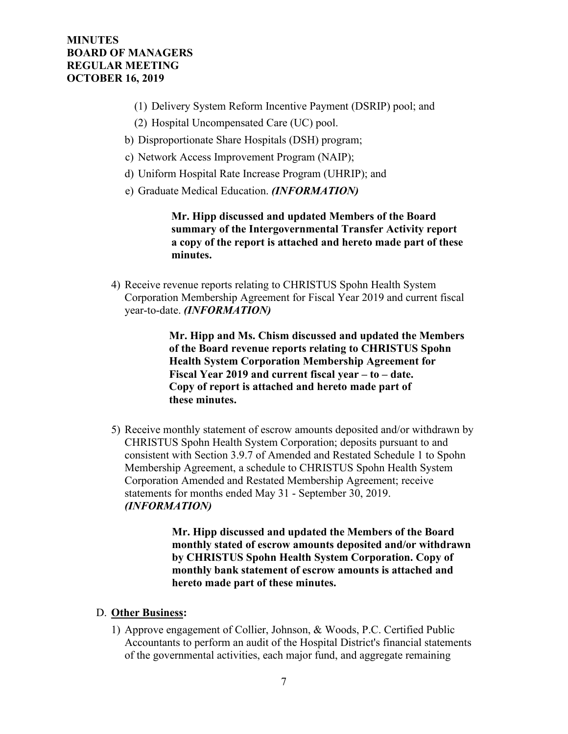- (1) Delivery System Reform Incentive Payment (DSRIP) pool; and
- (2) Hospital Uncompensated Care (UC) pool.
- b) Disproportionate Share Hospitals (DSH) program;
- c) Network Access Improvement Program (NAIP);
- d) Uniform Hospital Rate Increase Program (UHRIP); and
- e) Graduate Medical Education. *(INFORMATION)*

 **Mr. Hipp discussed and updated Members of the Board summary of the Intergovernmental Transfer Activity report a copy of the report is attached and hereto made part of these minutes.** 

4) Receive revenue reports relating to CHRISTUS Spohn Health System Corporation Membership Agreement for Fiscal Year 2019 and current fiscal year-to-date. *(INFORMATION)*

> **Mr. Hipp and Ms. Chism discussed and updated the Members of the Board revenue reports relating to CHRISTUS Spohn Health System Corporation Membership Agreement for Fiscal Year 2019 and current fiscal year – to – date. Copy of report is attached and hereto made part of these minutes.**

5) Receive monthly statement of escrow amounts deposited and/or withdrawn by CHRISTUS Spohn Health System Corporation; deposits pursuant to and consistent with Section 3.9.7 of Amended and Restated Schedule 1 to Spohn Membership Agreement, a schedule to CHRISTUS Spohn Health System Corporation Amended and Restated Membership Agreement; receive statements for months ended May 31 - September 30, 2019. *(INFORMATION)*

> **Mr. Hipp discussed and updated the Members of the Board monthly stated of escrow amounts deposited and/or withdrawn by CHRISTUS Spohn Health System Corporation. Copy of monthly bank statement of escrow amounts is attached and hereto made part of these minutes.**

#### D. **Other Business:**

1) Approve engagement of Collier, Johnson, & Woods, P.C. Certified Public Accountants to perform an audit of the Hospital District's financial statements of the governmental activities, each major fund, and aggregate remaining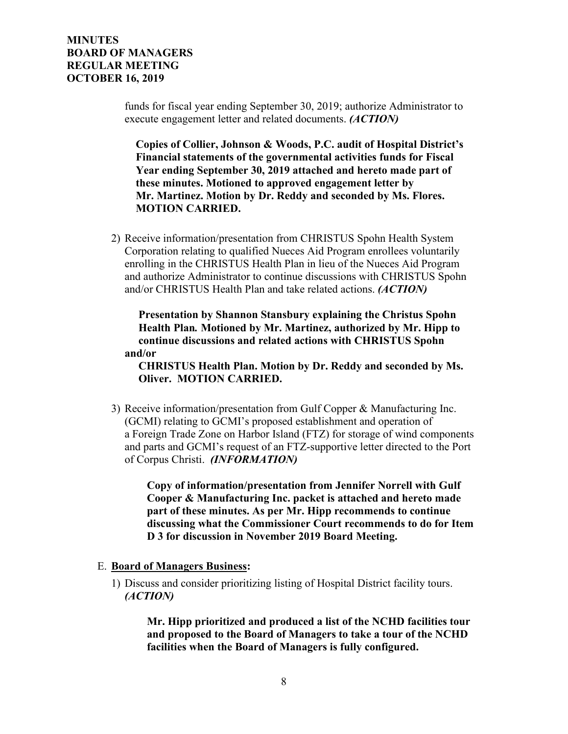funds for fiscal year ending September 30, 2019; authorize Administrator to execute engagement letter and related documents. *(ACTION)*

 **Copies of Collier, Johnson & Woods, P.C. audit of Hospital District's Financial statements of the governmental activities funds for Fiscal Year ending September 30, 2019 attached and hereto made part of these minutes. Motioned to approved engagement letter by Mr. Martinez. Motion by Dr. Reddy and seconded by Ms. Flores. MOTION CARRIED.**

2) Receive information/presentation from CHRISTUS Spohn Health System Corporation relating to qualified Nueces Aid Program enrollees voluntarily enrolling in the CHRISTUS Health Plan in lieu of the Nueces Aid Program and authorize Administrator to continue discussions with CHRISTUS Spohn and/or CHRISTUS Health Plan and take related actions. *(ACTION)*

 **Presentation by Shannon Stansbury explaining the Christus Spohn Health Plan***.* **Motioned by Mr. Martinez, authorized by Mr. Hipp to continue discussions and related actions with CHRISTUS Spohn and/or** 

 **CHRISTUS Health Plan. Motion by Dr. Reddy and seconded by Ms. Oliver. MOTION CARRIED.**

3) Receive information/presentation from Gulf Copper & Manufacturing Inc. (GCMI) relating to GCMI's proposed establishment and operation of a Foreign Trade Zone on Harbor Island (FTZ) for storage of wind components and parts and GCMI's request of an FTZ-supportive letter directed to the Port of Corpus Christi. *(INFORMATION)*

**Copy of information/presentation from Jennifer Norrell with Gulf Cooper & Manufacturing Inc. packet is attached and hereto made part of these minutes. As per Mr. Hipp recommends to continue discussing what the Commissioner Court recommends to do for Item D 3 for discussion in November 2019 Board Meeting.** 

- E. **Board of Managers Business:**
	- 1) Discuss and consider prioritizing listing of Hospital District facility tours. *(ACTION)*

 **Mr. Hipp prioritized and produced a list of the NCHD facilities tour and proposed to the Board of Managers to take a tour of the NCHD facilities when the Board of Managers is fully configured.**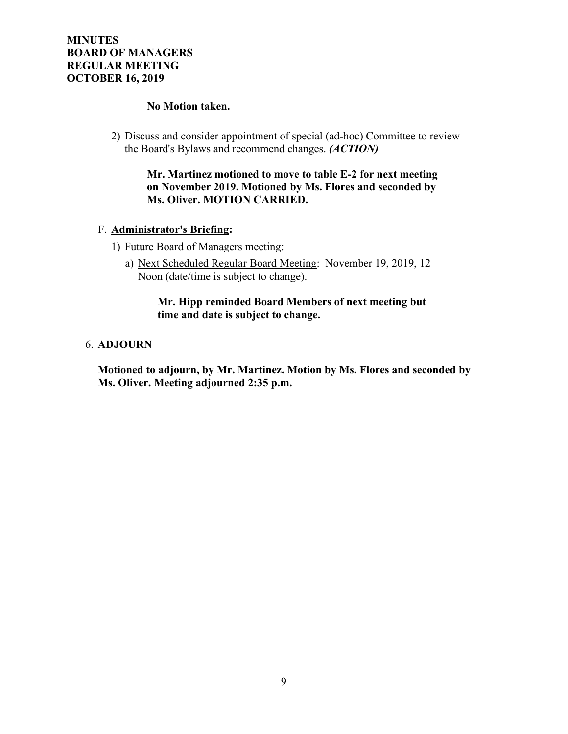### **No Motion taken.**

2) Discuss and consider appointment of special (ad-hoc) Committee to review the Board's Bylaws and recommend changes. *(ACTION)*

## **Mr. Martinez motioned to move to table E-2 for next meeting on November 2019. Motioned by Ms. Flores and seconded by Ms. Oliver. MOTION CARRIED.**

## F. **Administrator's Briefing:**

- 1) Future Board of Managers meeting:
	- a) Next Scheduled Regular Board Meeting: November 19, 2019, 12 Noon (date/time is subject to change).

## **Mr. Hipp reminded Board Members of next meeting but time and date is subject to change.**

## 6. **ADJOURN**

**Motioned to adjourn, by Mr. Martinez. Motion by Ms. Flores and seconded by Ms. Oliver. Meeting adjourned 2:35 p.m.**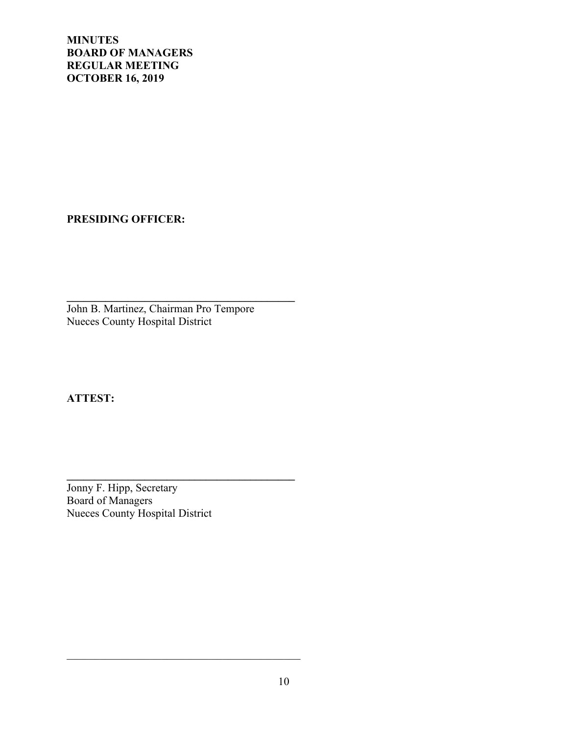**PRESIDING OFFICER:**

**\_\_\_\_\_\_\_\_\_\_\_\_\_\_\_\_\_\_\_\_\_\_\_\_\_\_\_\_\_\_\_\_\_\_\_\_\_\_\_\_\_** John B. Martinez, Chairman Pro Tempore Nueces County Hospital District

**ATTEST:**

Jonny F. Hipp, Secretary Board of Managers Nueces County Hospital District

**\_\_\_\_\_\_\_\_\_\_\_\_\_\_\_\_\_\_\_\_\_\_\_\_\_\_\_\_\_\_\_\_\_\_\_\_\_\_\_\_\_**

 $\mathcal{L}_\mathcal{L}$  , which is a set of the set of the set of the set of the set of the set of the set of the set of the set of the set of the set of the set of the set of the set of the set of the set of the set of the set of